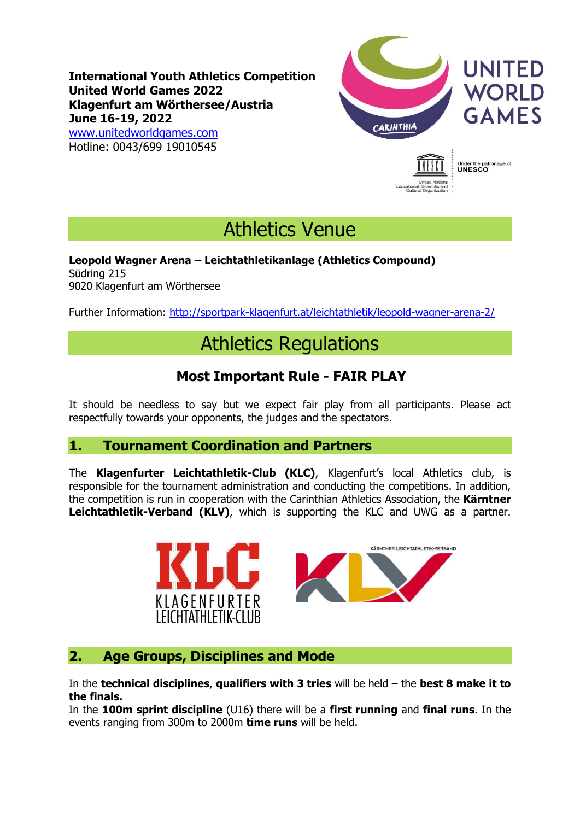**International Youth Athletics Competition United World Games 2022 Klagenfurt am Wörthersee/Austria June 16-19, 2022**

[www.unitedworldgames.com](http://www.unitedworldgames.com/) Hotline: 0043/699 19010545



nage of

Under the pat<br>**UNESCO** 

Athletics Venue

#### **Leopold Wagner Arena – Leichtathletikanlage (Athletics Compound)** Südring 215 9020 Klagenfurt am Wörthersee

Further Information:<http://sportpark-klagenfurt.at/leichtathletik/leopold-wagner-arena-2/>

# Athletics Regulations

# **Most Important Rule - FAIR PLAY**

It should be needless to say but we expect fair play from all participants. Please act respectfully towards your opponents, the judges and the spectators.

### **1. Tournament Coordination and Partners**

The **Klagenfurter Leichtathletik-Club (KLC)**, Klagenfurt's local Athletics club, is responsible for the tournament administration and conducting the competitions. In addition, the competition is run in cooperation with the Carinthian Athletics Association, the **Kärntner Leichtathletik-Verband (KLV)**, which is supporting the KLC and UWG as a partner.



## **2. Age Groups, Disciplines and Mode**

In the **technical disciplines**, **qualifiers with 3 tries** will be held – the **best 8 make it to the finals.**

In the **100m sprint discipline** (U16) there will be a **first running** and **final runs**. In the events ranging from 300m to 2000m **time runs** will be held.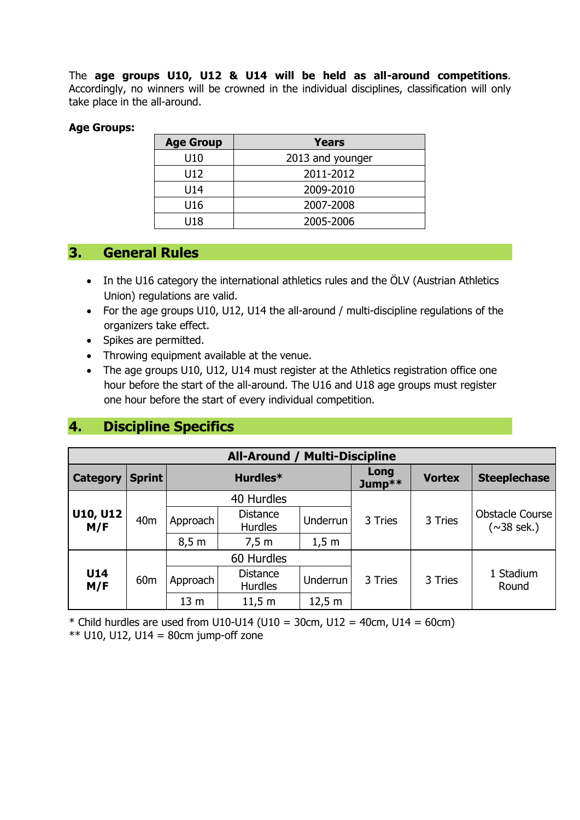The **age groups U10, U12 & U14 will be held as all-around competitions**. Accordingly, no winners will be crowned in the individual disciplines, classification will only take place in the all-around.

#### **Age Groups:**

| <b>Age Group</b> | <b>Years</b>     |
|------------------|------------------|
| U10              | 2013 and younger |
| U12              | 2011-2012        |
| U14              | 2009-2010        |
| U16              | 2007-2008        |
| U18              | 2005-2006        |

## **3. General Rules**

- In the U16 category the international athletics rules and the ÖLV (Austrian Athletics Union) regulations are valid.
- For the age groups U10, U12, U14 the all-around / multi-discipline regulations of the organizers take effect.
- Spikes are permitted.
- Throwing equipment available at the venue.
- The age groups U10, U12, U14 must register at the Athletics registration office one hour before the start of the all-around. The U16 and U18 age groups must register one hour before the start of every individual competition.

# **4. Discipline Specifics**

| <b>All-Around / Multi-Discipline</b> |                 |                 |                                   |                 |                |               |                                            |  |
|--------------------------------------|-----------------|-----------------|-----------------------------------|-----------------|----------------|---------------|--------------------------------------------|--|
| <b>Category</b>                      | Sprint          |                 | Hurdles*                          |                 | Long<br>Jump** | <b>Vortex</b> | <b>Steeplechase</b>                        |  |
| <b>U10, U12</b><br>M/F               |                 |                 | 40 Hurdles                        |                 | 3 Tries        | 3 Tries       | <b>Obstacle Course</b><br>$(\sim 38$ sek.) |  |
|                                      | 40 <sub>m</sub> | Approach        | <b>Distance</b><br><b>Hurdles</b> | Underrun I      |                |               |                                            |  |
|                                      |                 | 8,5 m           | 7,5 m                             | 1,5 m           |                |               |                                            |  |
|                                      |                 | 60 Hurdles      |                                   |                 |                |               |                                            |  |
| U14<br>M/F                           | 60 <sub>m</sub> | Approach        | <b>Distance</b><br><b>Hurdles</b> | <b>Underrun</b> | 3 Tries        | 3 Tries       | 1 Stadium<br>Round                         |  |
|                                      |                 | 13 <sub>m</sub> | 11,5 m                            | 12,5 m          |                |               |                                            |  |

\* Child hurdles are used from U10-U14 (U10 = 30cm, U12 = 40cm, U14 = 60cm)  $**$  U10, U12, U14 = 80cm jump-off zone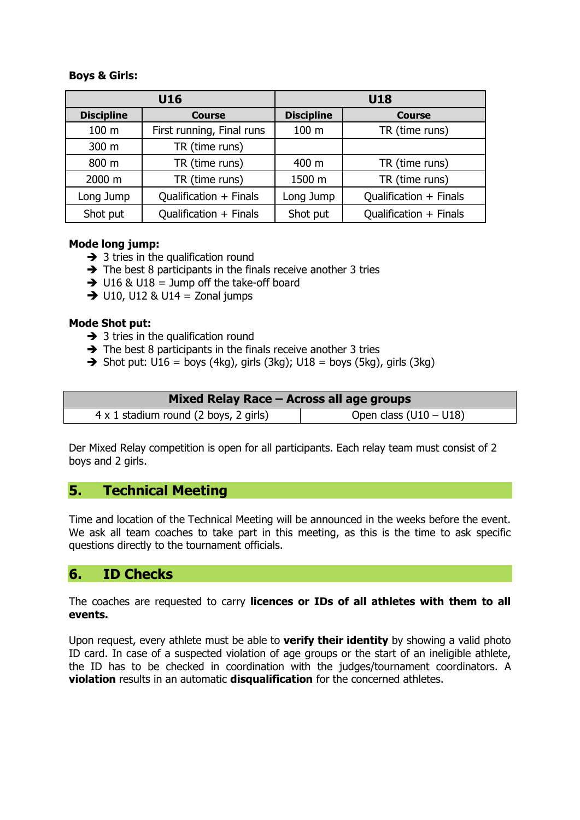#### **Boys & Girls:**

|                   | U16                       | <b>U18</b>        |                        |  |
|-------------------|---------------------------|-------------------|------------------------|--|
| <b>Discipline</b> | <b>Course</b>             | <b>Discipline</b> | <b>Course</b>          |  |
| 100 <sub>m</sub>  | First running, Final runs | 100 m             | TR (time runs)         |  |
| 300 m             | TR (time runs)            |                   |                        |  |
| 800 m             | TR (time runs)            | 400 m             | TR (time runs)         |  |
| 2000 m            | TR (time runs)            | 1500 m            | TR (time runs)         |  |
| Long Jump         | Qualification + Finals    | Long Jump         | Qualification + Finals |  |
| Shot put          | Qualification + Finals    | Shot put          | Qualification + Finals |  |

#### **Mode long jump:**

- $\rightarrow$  3 tries in the qualification round
- $\rightarrow$  The best 8 participants in the finals receive another 3 tries
- $\rightarrow$  U16 & U18 = Jump off the take-off board
- $\rightarrow$  U10, U12 & U14 = Zonal jumps

#### **Mode Shot put:**

- $\rightarrow$  3 tries in the qualification round
- ➔ The best 8 participants in the finals receive another 3 tries
- $\rightarrow$  Shot put: U16 = boys (4kg), girls (3kg); U18 = boys (5kg), girls (3kg)

| Mixed Relay Race - Across all age groups     |                          |  |  |  |  |
|----------------------------------------------|--------------------------|--|--|--|--|
| $4 \times 1$ stadium round (2 boys, 2 girls) | Open class $(U10 - U18)$ |  |  |  |  |

Der Mixed Relay competition is open for all participants. Each relay team must consist of 2 boys and 2 girls.

### **5. Technical Meeting**

Time and location of the Technical Meeting will be announced in the weeks before the event. We ask all team coaches to take part in this meeting, as this is the time to ask specific questions directly to the tournament officials.

#### **6. ID Checks**

The coaches are requested to carry **licences or IDs of all athletes with them to all events.**

Upon request, every athlete must be able to **verify their identity** by showing a valid photo ID card. In case of a suspected violation of age groups or the start of an ineligible athlete, the ID has to be checked in coordination with the judges/tournament coordinators. A **violation** results in an automatic **disqualification** for the concerned athletes.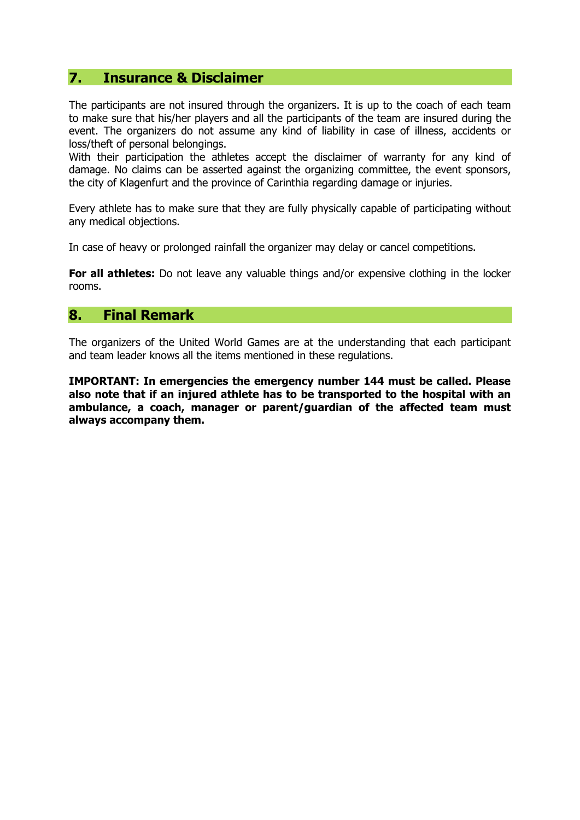#### **7. Insurance & Disclaimer**

The participants are not insured through the organizers. It is up to the coach of each team to make sure that his/her players and all the participants of the team are insured during the event. The organizers do not assume any kind of liability in case of illness, accidents or loss/theft of personal belongings.

With their participation the athletes accept the disclaimer of warranty for any kind of damage. No claims can be asserted against the organizing committee, the event sponsors, the city of Klagenfurt and the province of Carinthia regarding damage or injuries.

Every athlete has to make sure that they are fully physically capable of participating without any medical objections.

In case of heavy or prolonged rainfall the organizer may delay or cancel competitions.

**For all athletes:** Do not leave any valuable things and/or expensive clothing in the locker rooms.

#### **8. Final Remark**

The organizers of the United World Games are at the understanding that each participant and team leader knows all the items mentioned in these regulations.

**IMPORTANT: In emergencies the emergency number 144 must be called. Please also note that if an injured athlete has to be transported to the hospital with an ambulance, a coach, manager or parent/guardian of the affected team must always accompany them.**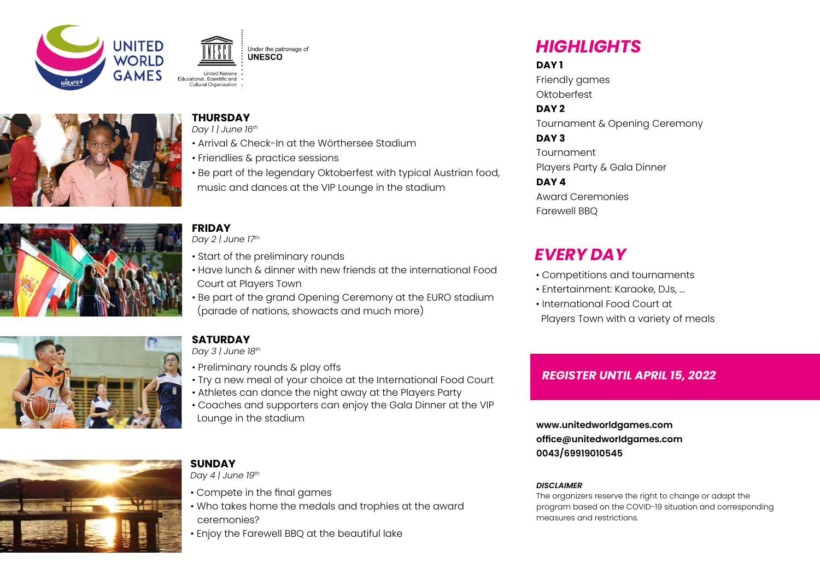





#### **THURSDAY**

*Day 1 | June 16th*

- Arrival & Check-In at the Wörthersee Stadium
- Friendlies & practice sessions
- music and dances at the VIP Lounge in the stadium



## **FRIDAY**

*Day 2 | June 17th*

- Start of the preliminary rounds
- Have lunch & dinner with new friends at the international Food Court at Players Town
- Be part of the grand Opening Ceremony at the EURO stadium (parade of nations, showacts and much more)



### **SATURDAY**

*Day 3 | June 18th*

- Preliminary rounds & play offs
- Try a new meal of your choice at the International Food Court
- Athletes can dance the night away at the Players Party
- Coaches and supporters can enjoy the Gala Dinner at the VIP Lounge in the stadium

# *HIGHLIGHTS*

#### **DAY 1**

Friendly games **Oktoberfest** 

**DAY 2**

Tournament & Opening Ceremony

#### **DAY 3**

Tournament

Award Ceremonies

- Competitions and tournaments
- Entertainment: Karaoke, DJs, ...
- International Food Court at Players Town with a variety of meals

## *REGISTER UNTIL APRIL 15, 2022*

**www.unitedworldgames.com office@unitedworldgames.com 0043/69919010545**

#### *DISCLAIMER*

The organizers reserve the right to change or adapt the program based on the COVID-19 situation and corresponding measures and restrictions.



#### **SUNDAY** *Day 4 | June 19th*

- Compete in the final games
- Who takes home the medals and trophies at the award ceremonies?
- Enjoy the Farewell BBQ at the beautiful lake

• Be part of the legendary Oktoberfest with typical Austrian food,

Players Party & Gala Dinner

#### **DAY 4**

Farewell BBQ

# *EVERY DAY*

- 
-